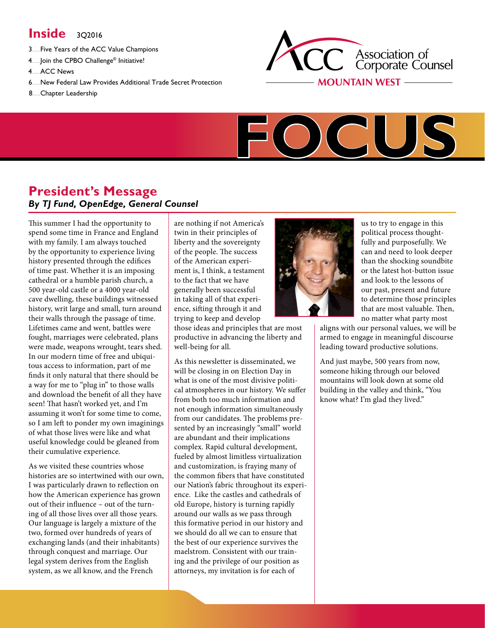# **Inside** 302016

- 3.....Five Years of the ACC Value [Champions](#page-1-0)
- 4.....Join the CPBO [Challenge®](#page-3-0) Initiative!
- [4.....ACC](#page-3-1) News
- 6.....New Federal Law Provides Additional Trade Secret [Protection](#page-5-0)
- [8.....Chapter](#page-7-0) Leadership





# **President's Message** *By TJ Fund, OpenEdge, General Counsel*

This summer I had the opportunity to spend some time in France and England with my family. I am always touched by the opportunity to experience living history presented through the edifices of time past. Whether it is an imposing cathedral or a humble parish church, a 500 year-old castle or a 4000 year-old cave dwelling, these buildings witnessed history, writ large and small, turn around their walls through the passage of time. Lifetimes came and went, battles were fought, marriages were celebrated, plans were made, weapons wrought, tears shed. In our modern time of free and ubiquitous access to information, part of me finds it only natural that there should be a way for me to "plug in" to those walls and download the benefit of all they have seen! That hasn't worked yet, and I'm assuming it won't for some time to come, so I am left to ponder my own imaginings of what those lives were like and what useful knowledge could be gleaned from their cumulative experience.

As we visited these countries whose histories are so intertwined with our own, I was particularly drawn to reflection on how the American experience has grown out of their influence – out of the turning of all those lives over all those years. Our language is largely a mixture of the two, formed over hundreds of years of exchanging lands (and their inhabitants) through conquest and marriage. Our legal system derives from the English system, as we all know, and the French

are nothing if not America's twin in their principles of liberty and the sovereignty of the people. The success of the American experiment is, I think, a testament to the fact that we have generally been successful in taking all of that experience, sifting through it and trying to keep and develop

those ideas and principles that are most productive in advancing the liberty and well-being for all.

As this newsletter is disseminated, we will be closing in on Election Day in what is one of the most divisive political atmospheres in our history. We suffer from both too much information and not enough information simultaneously from our candidates. The problems presented by an increasingly "small" world are abundant and their implications complex. Rapid cultural development, fueled by almost limitless virtualization and customization, is fraying many of the common fibers that have constituted our Nation's fabric throughout its experience. Like the castles and cathedrals of old Europe, history is turning rapidly around our walls as we pass through this formative period in our history and we should do all we can to ensure that the best of our experience survives the maelstrom. Consistent with our training and the privilege of our position as attorneys, my invitation is for each of



us to try to engage in this political process thoughtfully and purposefully. We can and need to look deeper than the shocking soundbite or the latest hot-button issue and look to the lessons of our past, present and future to determine those principles that are most valuable. Then, no matter what party most

aligns with our personal values, we will be armed to engage in meaningful discourse leading toward productive solutions.

And just maybe, 500 years from now, someone hiking through our beloved mountains will look down at some old building in the valley and think, "You know what? I'm glad they lived."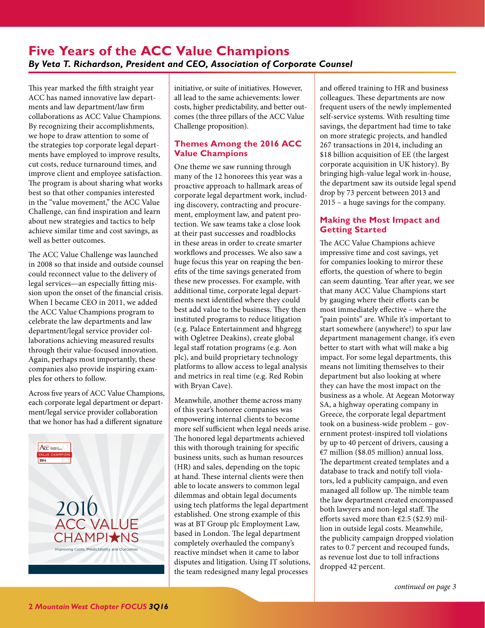# <span id="page-1-0"></span>**Five Years of the ACC Value Champions** *By Veta T. Richardson, President and CEO, Association of Corporate Counsel*

This year marked the fifth straight year ACC has named innovative law departments and law department/law firm collaborations as ACC Value Champions. By recognizing their accomplishments, we hope to draw attention to some of the strategies top corporate legal departments have employed to improve results, cut costs, reduce turnaround times, and improve client and employee satisfaction. The program is about sharing what works best so that other companies interested in the "value movement," the ACC Value Challenge, can find inspiration and learn about new strategies and tactics to help achieve similar time and cost savings, as well as better outcomes.

The ACC Value Challenge was launched in 2008 so that inside and outside counsel could reconnect value to the delivery of legal services—an especially fitting mission upon the onset of the financial crisis. When I became CEO in 2011, we added the ACC Value Champions program to celebrate the law departments and law department/legal service provider collaborations achieving measured results through their value-focused innovation. Again, perhaps most importantly, these companies also provide inspiring examples for others to follow.

Across five years of ACC Value Champions, each corporate legal department or department/legal service provider collaboration that we honor has had a different signature



initiative, or suite of initiatives. However, all lead to the same achievements: lower costs, higher predictability, and better outcomes (the three pillars of the ACC Value Challenge proposition).

#### **Themes Among the 2016 ACC Value Champions**

One theme we saw running through many of the 12 honorees this year was a proactive approach to hallmark areas of corporate legal department work, including discovery, contracting and procurement, employment law, and patent protection. We saw teams take a close look at their past successes and roadblocks in these areas in order to create smarter workflows and processes. We also saw a huge focus this year on reaping the benefits of the time savings generated from these new processes. For example, with additional time, corporate legal departments next identified where they could best add value to the business. They then instituted programs to reduce litigation (e.g. Palace Entertainment and hhgregg with Ogletree Deakins), create global legal staff rotation programs (e.g. Aon plc), and build proprietary technology platforms to allow access to legal analysis and metrics in real time (e.g. Red Robin with Bryan Cave).

Meanwhile, another theme across many of this year's honoree companies was empowering internal clients to become more self sufficient when legal needs arise. The honored legal departments achieved this with thorough training for specific business units, such as human resources (HR) and sales, depending on the topic at hand. These internal clients were then able to locate answers to common legal dilemmas and obtain legal documents using tech platforms the legal department established. One strong example of this was at BT Group plc Employment Law, based in London. The legal department completely overhauled the company's reactive mindset when it came to labor disputes and litigation. Using IT solutions, the team redesigned many legal processes

and offered training to HR and business colleagues. These departments are now frequent users of the newly implemented self-service systems. With resulting time savings, the department had time to take on more strategic projects, and handled 267 transactions in 2014, including an \$18 billion acquisition of EE (the largest corporate acquisition in UK history). By bringing high-value legal work in-house, the department saw its outside legal spend drop by 73 percent between 2013 and 2015 – a huge savings for the company.

#### **Making the Most Impact and Getting Started**

The ACC Value Champions achieve impressive time and cost savings, yet for companies looking to mirror these efforts, the question of where to begin can seem daunting. Year after year, we see that many ACC Value Champions start by gauging where their efforts can be most immediately effective – where the "pain points" are. While it's important to start somewhere (anywhere!) to spur law department management change, it's even better to start with what will make a big impact. For some legal departments, this means not limiting themselves to their department but also looking at where they can have the most impact on the business as a whole. At Aegean Motorway SA, a highway operating company in Greece, the corporate legal department took on a business-wide problem – government protest-inspired toll violations by up to 40 percent of drivers, causing a €7 million (\$8.05 million) annual loss. The department created templates and a database to track and notify toll violators, led a publicity campaign, and even managed all follow up. The nimble team the law department created encompassed both lawyers and non-legal staff. The efforts saved more than  $\epsilon$ 2.5 (\$2.9) million in outside legal costs. Meanwhile, the publicity campaign dropped violation rates to 0.7 percent and recouped funds, as revenue lost due to toll infractions dropped 42 percent.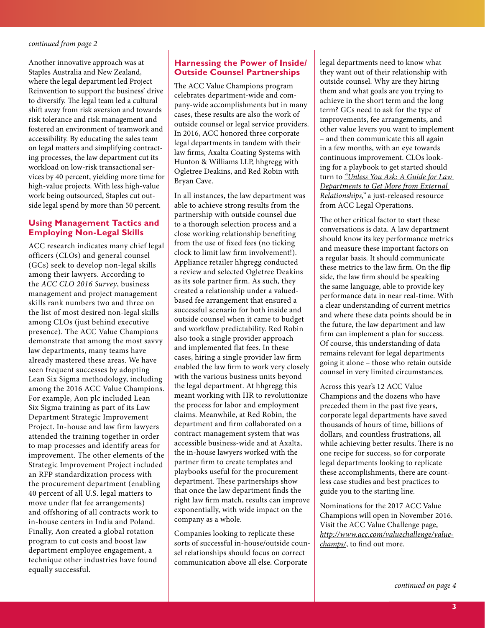<span id="page-2-0"></span>Another innovative approach was at Staples Australia and New Zealand, where the legal department led Project Reinvention to support the business' drive to diversify. The legal team led a cultural shift away from risk aversion and towards risk tolerance and risk management and fostered an environment of teamwork and accessibility. By educating the sales team on legal matters and simplifying contracting processes, the law department cut its workload on low-risk transactional services by 40 percent, yielding more time for high-value projects. With less high-value work being outsourced, Staples cut outside legal spend by more than 50 percent.

#### **Using Management Tactics and Employing Non-Legal Skills**

ACC research indicates many chief legal officers (CLOs) and general counsel (GCs) seek to develop non-legal skills among their lawyers. According to the *ACC CLO 2016 Survey*, business management and project management skills rank numbers two and three on the list of most desired non-legal skills among CLOs (just behind executive presence). The ACC Value Champions demonstrate that among the most savvy law departments, many teams have already mastered these areas. We have seen frequent successes by adopting Lean Six Sigma methodology, including among the 2016 ACC Value Champions. For example, Aon plc included Lean Six Sigma training as part of its Law Department Strategic Improvement Project. In-house and law firm lawyers attended the training together in order to map processes and identify areas for improvement. The other elements of the Strategic Improvement Project included an RFP standardization process with the procurement department (enabling 40 percent of all U.S. legal matters to move under flat fee arrangements) and offshoring of all contracts work to in-house centers in India and Poland. Finally, Aon created a global rotation program to cut costs and boost law department employee engagement, a technique other industries have found equally successful.

#### **Harnessing the Power of Inside/ Outside Counsel Partnerships**

The ACC Value Champions program celebrates department-wide and company-wide accomplishments but in many cases, these results are also the work of outside counsel or legal service providers. In 2016, ACC honored three corporate legal departments in tandem with their law firms, Axalta Coating Systems with Hunton & Williams LLP, hhgregg with Ogletree Deakins, and Red Robin with Bryan Cave.

In all instances, the law department was able to achieve strong results from the partnership with outside counsel due to a thorough selection process and a close working relationship benefiting from the use of fixed fees (no ticking clock to limit law firm involvement!). Appliance retailer hhgregg conducted a review and selected Ogletree Deakins as its sole partner firm. As such, they created a relationship under a valuedbased fee arrangement that ensured a successful scenario for both inside and outside counsel when it came to budget and workflow predictability. Red Robin also took a single provider approach and implemented flat fees. In these cases, hiring a single provider law firm enabled the law firm to work very closely with the various business units beyond the legal department. At hhgregg this meant working with HR to revolutionize the process for labor and employment claims. Meanwhile, at Red Robin, the department and firm collaborated on a contract management system that was accessible business-wide and at Axalta, the in-house lawyers worked with the partner firm to create templates and playbooks useful for the procurement department. These partnerships show that once the law department finds the right law firm match, results can improve exponentially, with wide impact on the company as a whole.

Companies looking to replicate these sorts of successful in-house/outside counsel relationships should focus on correct communication above all else. Corporate

legal departments need to know what they want out of their relationship with outside counsel. Why are they hiring them and what goals are you trying to achieve in the short term and the long term? GCs need to ask for the type of improvements, fee arrangements, and other value levers you want to implement – and then communicate this all again in a few months, with an eye towards continuous improvement. CLOs looking for a playbook to get started should turn to *["Unless You Ask: A Guide for Law](http://www.acc.com/legalresources/resource.cfm?show=1432511)  [Departments to Get More from External](http://www.acc.com/legalresources/resource.cfm?show=1432511)  [Relationships,"](http://www.acc.com/legalresources/resource.cfm?show=1432511)* a just-released resource from ACC Legal Operations.

The other critical factor to start these conversations is data. A law department should know its key performance metrics and measure these important factors on a regular basis. It should communicate these metrics to the law firm. On the flip side, the law firm should be speaking the same language, able to provide key performance data in near real-time. With a clear understanding of current metrics and where these data points should be in the future, the law department and law firm can implement a plan for success. Of course, this understanding of data remains relevant for legal departments going it alone – those who retain outside counsel in very limited circumstances.

Across this year's 12 ACC Value Champions and the dozens who have preceded them in the past five years, corporate legal departments have saved thousands of hours of time, billions of dollars, and countless frustrations, all while achieving better results. There is no one recipe for success, so for corporate legal departments looking to replicate these accomplishments, there are countless case studies and best practices to guide you to the starting line.

Nominations for the 2017 ACC Value Champions will open in November 2016. Visit the ACC Value Challenge page, *[http://www.acc.com/valuechallenge/value](http://www.acc.com/valuechallenge/valuechamps/)[champs/](http://www.acc.com/valuechallenge/valuechamps/)*, to find out more.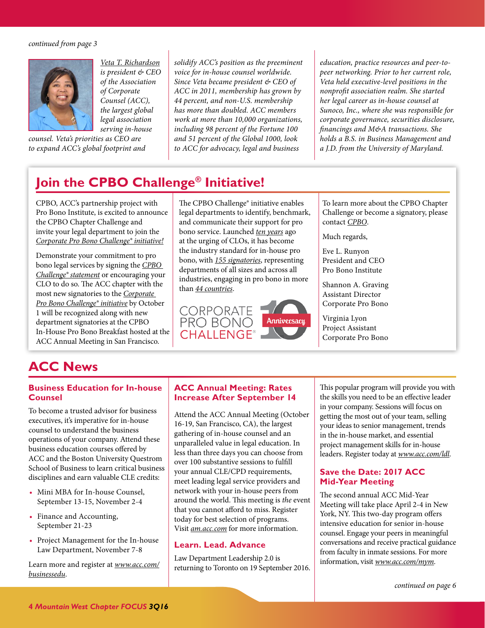<span id="page-3-2"></span>

*[Veta T. Richardson](http://www.acc.com/aboutacc/newsroom/veta-t-richardson.cfm) is president & CEO of the Association of Corporate Counsel (ACC), the largest global legal association serving in-house* 

*counsel. Veta's priorities as CEO are to expand ACC's global footprint and*  *solidify ACC's position as the preeminent voice for in-house counsel worldwide. Since Veta became president & CEO of ACC in 2011, membership has grown by 44 percent, and non-U.S. membership has more than doubled. ACC members work at more than 10,000 organizations, including 98 percent of the Fortune 100 and 51 percent of the Global 1000, look to ACC for advocacy, legal and business* 

*education, practice resources and peer-topeer networking. Prior to her current role, Veta held executive-level positions in the nonprofit association realm. She started her legal career as in-house counsel at Sunoco, Inc., where she was responsible for corporate governance, securities disclosure, financings and M&A transactions. She holds a B.S. in Business Management and a J.D. from the University of Maryland.* 

# <span id="page-3-0"></span>**Join the CPBO Challenge® Initiative!**

CPBO, ACC's partnership project with Pro Bono Institute, is excited to announce the CPBO Chapter Challenge and invite your legal department to join the *[Corporate Pro Bono Challenge® initiative!](http://www.cpbo.org/cpbo-challenge/)*

Demonstrate your commitment to pro bono legal services by signing the *[CPBO](http://www.cpbo.org/wp-content/uploads/2015/04/Join-the-Challenge-Form-fillable-Reader.pdf)  [Challenge® statement](http://www.cpbo.org/wp-content/uploads/2015/04/Join-the-Challenge-Form-fillable-Reader.pdf)* or encouraging your CLO to do so. The ACC chapter with the most new signatories to the *[Corporate](http://www.cpbo.org/cpbo-challenge/)  [Pro Bono Challenge® initiative](http://www.cpbo.org/cpbo-challenge/)* by October 1 will be recognized along with new department signatories at the CPBO In-House Pro Bono Breakfast hosted at the ACC Annual Meeting in San Francisco.

The CPBO Challenge® initiative enables legal departments to identify, benchmark, and communicate their support for pro bono service. Launched *[ten years](http://www.cpbo.org/cpbo-challenge/challenge-10th-anniversary/)* ago at the urging of CLOs, it has become the industry standard for in-house pro bono, with *[155 signatories](http://www.cpbo.org/cpbo-challenge/list-of-challenge-signatories/)*, representing departments of all sizes and across all industries, engaging in pro bono in more than *[44 countries](http://www.cpbo.org/wp-content/uploads/2015/12/Infographic-Global-In-House-Pro-Bono-.pdf)*.



To learn more about the CPBO Chapter Challenge or become a signatory, please contact *[CPBO](mailto:cpbo%40acc.com?subject=CPBO%20Chapter%20Challenge%20)*.

Much regards,

Eve L. Runyon President and CEO Pro Bono Institute

Shannon A. Graving Assistant Director Corporate Pro Bono

Virginia Lyon Project Assistant Corporate Pro Bono

# <span id="page-3-1"></span>**ACC News**

#### **Business Education for In-house Counsel**

To become a trusted advisor for business executives, it's imperative for in-house counsel to understand the business operations of your company. Attend these business education courses offered by ACC and the Boston University Questrom School of Business to learn critical business disciplines and earn valuable CLE credits:

- Mini MBA for In-house Counsel, September 13-15, November 2-4
- Finance and Accounting, September 21-23
- Project Management for the In-house Law Department, November 7-8

Learn more and register at *[www.acc.com/](http://www.acc.com/education/businessedu/index.cfm) [businessedu](http://www.acc.com/education/businessedu/index.cfm)*.

#### **ACC Annual Meeting: Rates Increase After September 14**

Attend the ACC Annual Meeting (October 16-19, San Francisco, CA), the largest gathering of in-house counsel and an unparalleled value in legal education. In less than three days you can choose from over 100 substantive sessions to fulfill your annual CLE/CPD requirements, meet leading legal service providers and network with your in-house peers from around the world. This meeting is *the* event that you cannot afford to miss. Register today for best selection of programs. Visit *[am.acc.com](http://www.acc.com/education/am16/)* for more information.

#### **Learn. Lead. Advance**

Law Department Leadership 2.0 is returning to Toronto on 19 September 2016.

This popular program will provide you with the skills you need to be an effective leader in your company. Sessions will focus on getting the most out of your team, selling your ideas to senior management, trends in the in-house market, and essential project management skills for in-house leaders. Register today at *[www.acc.com/ldl](http://www.acc.com/education/ldl16toronto/)*.

#### **Save the Date: 2017 ACC Mid-Year Meeting**

The second annual ACC Mid-Year Meeting will take place April 2-4 in New York, NY. This two-day program offers intensive education for senior in-house counsel. Engage your peers in meaningful conversations and receive practical guidance from faculty in inmate sessions. For more information, visit *[www.acc.com/mym](http://www.acc.com/mym)*.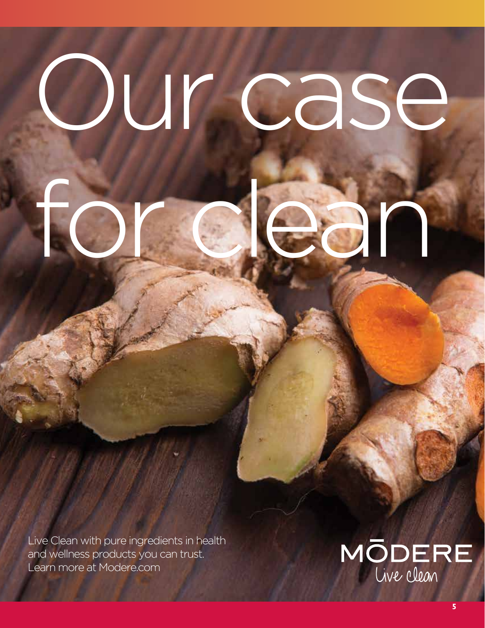# Our case for clean

Live Clean with pure ingredients in health and wellness products you can trust. Learn more at Modere.com

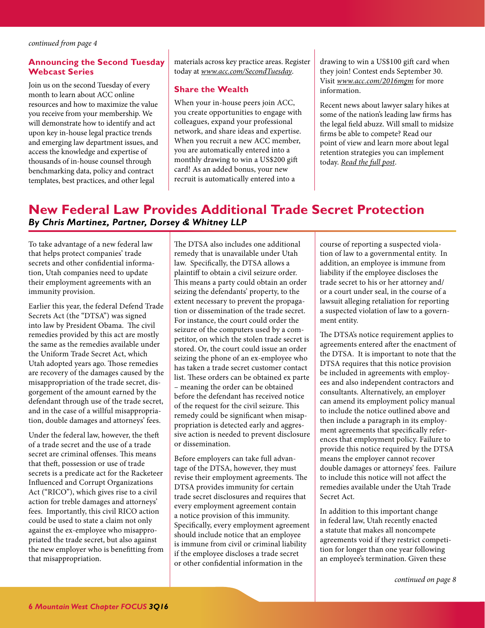#### <span id="page-5-1"></span>**Announcing the Second Tuesday Webcast Series**

Join us on the second Tuesday of every month to learn about ACC online resources and how to maximize the value you receive from your membership. We will demonstrate how to identify and act upon key in-house legal practice trends and emerging law department issues, and access the knowledge and expertise of thousands of in-house counsel through benchmarking data, policy and contract templates, best practices, and other legal

materials across key practice areas. Register today at *[www.acc.com/SecondTuesday](http://www.acc.com/membership/onsite-ed.cfm)*.

#### **Share the Wealth**

When your in-house peers join ACC, you create opportunities to engage with colleagues, expand your professional network, and share ideas and expertise. When you recruit a new ACC member, you are automatically entered into a monthly drawing to win a US\$200 gift card! As an added bonus, your new recruit is automatically entered into a

drawing to win a US\$100 gift card when they join! Contest ends September 30. Visit *[www.acc.com/2016mgm](http://www.acc.com/membership/recruit.cfm)* for more information.

Recent news about lawyer salary hikes at some of the nation's leading law firms has the legal field abuzz. Will small to midsize firms be able to compete? Read our point of view and learn more about legal retention strategies you can implement today. *[Read the full post](https://www.roberthalf.com/legal/blog/lawyer-salary-hikes-follow-these-tips-to-retain-your-top-legal-professionals?utm_campaign=RHL_blog_lawyer&utm_medium=Newsletter&utm_source=ACC)*.

# <span id="page-5-0"></span>**New Federal Law Provides Additional Trade Secret Protection**  *By Chris Martinez, Partner, Dorsey & Whitney LLP*

To take advantage of a new federal law that helps protect companies' trade secrets and other confidential information, Utah companies need to update their employment agreements with an immunity provision.

Earlier this year, the federal Defend Trade Secrets Act (the "DTSA") was signed into law by President Obama. The civil remedies provided by this act are mostly the same as the remedies available under the Uniform Trade Secret Act, which Utah adopted years ago. Those remedies are recovery of the damages caused by the misappropriation of the trade secret, disgorgement of the amount earned by the defendant through use of the trade secret, and in the case of a willful misappropriation, double damages and attorneys' fees.

Under the federal law, however, the theft of a trade secret and the use of a trade secret are criminal offenses. This means that theft, possession or use of trade secrets is a predicate act for the Racketeer Influenced and Corrupt Organizations Act ("RICO"), which gives rise to a civil action for treble damages and attorneys' fees. Importantly, this civil RICO action could be used to state a claim not only against the ex-employee who misappropriated the trade secret, but also against the new employer who is benefitting from that misappropriation.

The DTSA also includes one additional remedy that is unavailable under Utah law. Specifically, the DTSA allows a plaintiff to obtain a civil seizure order. This means a party could obtain an order seizing the defendants' property, to the extent necessary to prevent the propagation or dissemination of the trade secret. For instance, the court could order the seizure of the computers used by a competitor, on which the stolen trade secret is stored. Or, the court could issue an order seizing the phone of an ex-employee who has taken a trade secret customer contact list. These orders can be obtained ex parte – meaning the order can be obtained before the defendant has received notice of the request for the civil seizure. This remedy could be significant when misappropriation is detected early and aggressive action is needed to prevent disclosure or dissemination.

Before employers can take full advantage of the DTSA, however, they must revise their employment agreements. The DTSA provides immunity for certain trade secret disclosures and requires that every employment agreement contain a notice provision of this immunity. Specifically, every employment agreement should include notice that an employee is immune from civil or criminal liability if the employee discloses a trade secret or other confidential information in the

course of reporting a suspected violation of law to a governmental entity. In addition, an employee is immune from liability if the employee discloses the trade secret to his or her attorney and/ or a court under seal, in the course of a lawsuit alleging retaliation for reporting a suspected violation of law to a government entity.

The DTSA's notice requirement applies to agreements entered after the enactment of the DTSA. It is important to note that the DTSA requires that this notice provision be included in agreements with employees and also independent contractors and consultants. Alternatively, an employer can amend its employment policy manual to include the notice outlined above and then include a paragraph in its employment agreements that specifically references that employment policy. Failure to provide this notice required by the DTSA means the employer cannot recover double damages or attorneys' fees. Failure to include this notice will not affect the remedies available under the Utah Trade Secret Act.

In addition to this important change in federal law, Utah recently enacted a statute that makes all noncompete agreements void if they restrict competition for longer than one year following an employee's termination. Given these

*[continued on page 8](#page-7-1)*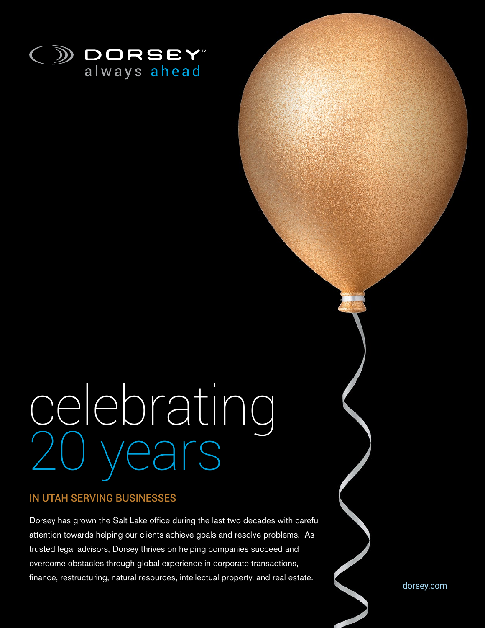

# celebrating I years

### IN UTAH SERVING BUSINESSES

Dorsey has grown the Salt Lake office during the last two decades with careful attention towards helping our clients achieve goals and resolve problems. As trusted legal advisors, Dorsey thrives on helping companies succeed and overcome obstacles through global experience in corporate transactions, finance, restructuring, natural resources, intellectual property, and real estate.

dorsey.com